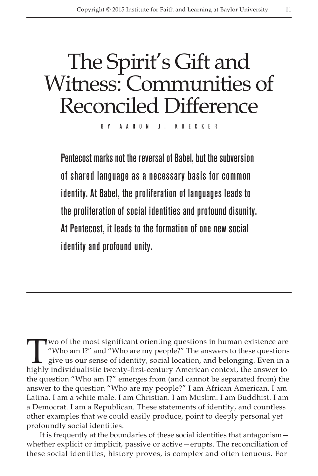# The Spirit's Gift and Witness: Communities of Reconciled Difference

By A a ron J. Kuec k e r

Pentecost marks not the reversal of Babel, but the subversion of shared language as a necessary basis for common identity. At Babel, the proliferation of languages leads to the proliferation of social identities and profound disunity. At Pentecost, it leads to the formation of one new social identity and profound unity.

Who am I?" and "Who are my people?" The answers to these questions give us our sense of identity, social location, and belonging. Even in a highly individualistic twenty-first-century American context, the answer to "Who am I?" and "Who are my people?" The answers to these questions give us our sense of identity, social location, and belonging. Even in a highly individualistic twenty-first-century American context, the answer to the question "Who am I?" emerges from (and cannot be separated from) the answer to the question "Who are my people?" I am African American. I am Latina. I am a white male. I am Christian. I am Muslim. I am Buddhist. I am a Democrat. I am a Republican. These statements of identity, and countless other examples that we could easily produce, point to deeply personal yet profoundly social identities.

It is frequently at the boundaries of these social identities that antagonism whether explicit or implicit, passive or active—erupts. The reconciliation of these social identities, history proves, is complex and often tenuous. For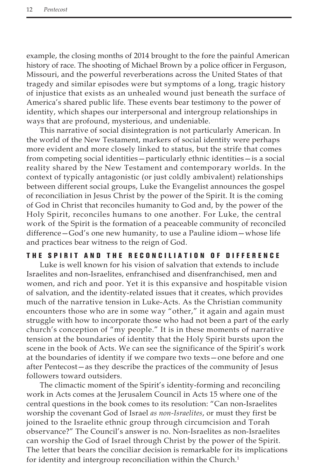example, the closing months of 2014 brought to the fore the painful American history of race. The shooting of Michael Brown by a police officer in Ferguson, Missouri, and the powerful reverberations across the United States of that tragedy and similar episodes were but symptoms of a long, tragic history of injustice that exists as an unhealed wound just beneath the surface of America's shared public life. These events bear testimony to the power of identity, which shapes our interpersonal and intergroup relationships in ways that are profound, mysterious, and undeniable.

This narrative of social disintegration is not particularly American. In the world of the New Testament, markers of social identity were perhaps more evident and more closely linked to status, but the strife that comes from competing social identities—particularly ethnic identities—is a social reality shared by the New Testament and contemporary worlds. In the context of typically antagonistic (or just coldly ambivalent) relationships between different social groups, Luke the Evangelist announces the gospel of reconciliation in Jesus Christ by the power of the Spirit. It is the coming of God in Christ that reconciles humanity to God and, by the power of the Holy Spirit, reconciles humans to one another. For Luke, the central work of the Spirit is the formation of a peaceable community of reconciled difference—God's one new humanity, to use a Pauline idiom—whose life and practices bear witness to the reign of God.

## THE SPIRIT AND THE RECONCILIATION OF DIFFERENCE

Luke is well known for his vision of salvation that extends to include Israelites and non-Israelites, enfranchised and disenfranchised, men and women, and rich and poor. Yet it is this expansive and hospitable vision of salvation, and the identity-related issues that it creates, which provides much of the narrative tension in Luke-Acts. As the Christian community encounters those who are in some way "other," it again and again must struggle with how to incorporate those who had not been a part of the early church's conception of "my people." It is in these moments of narrative tension at the boundaries of identity that the Holy Spirit bursts upon the scene in the book of Acts. We can see the significance of the Spirit's work at the boundaries of identity if we compare two texts—one before and one after Pentecost—as they describe the practices of the community of Jesus followers toward outsiders.

The climactic moment of the Spirit's identity-forming and reconciling work in Acts comes at the Jerusalem Council in Acts 15 where one of the central questions in the book comes to its resolution: "Can non-Israelites worship the covenant God of Israel *as non-Israelites*, or must they first be joined to the Israelite ethnic group through circumcision and Torah observance?" The Council's answer is no. Non-Israelites as non-Israelites can worship the God of Israel through Christ by the power of the Spirit. The letter that bears the conciliar decision is remarkable for its implications for identity and intergroup reconciliation within the Church.<sup>1</sup>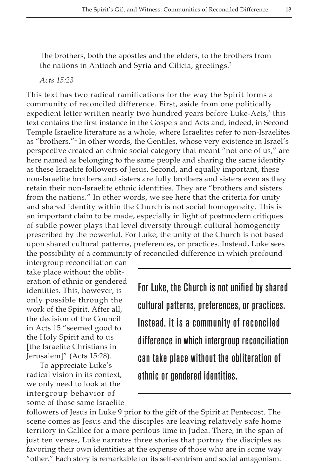The brothers, both the apostles and the elders, to the brothers from the nations in Antioch and Syria and Cilicia, greetings.<sup>2</sup>

*Acts 15:23*

This text has two radical ramifications for the way the Spirit forms a community of reconciled difference. First, aside from one politically expedient letter written nearly two hundred years before Luke-Acts,<sup>3</sup> this text contains the first instance in the Gospels and Acts and, indeed, in Second Temple Israelite literature as a whole, where Israelites refer to non-Israelites as "brothers."4 In other words, the Gentiles, whose very existence in Israel's perspective created an ethnic social category that meant "not one of us," are here named as belonging to the same people and sharing the same identity as these Israelite followers of Jesus. Second, and equally important, these non-Israelite brothers and sisters are fully brothers and sisters even as they retain their non-Israelite ethnic identities. They are "brothers and sisters from the nations." In other words, we see here that the criteria for unity and shared identity within the Church is not social homogeneity. This is an important claim to be made, especially in light of postmodern critiques of subtle power plays that level diversity through cultural homogeneity prescribed by the powerful. For Luke, the unity of the Church is not based upon shared cultural patterns, preferences, or practices. Instead, Luke sees the possibility of a community of reconciled difference in which profound

intergroup reconciliation can take place without the obliteration of ethnic or gendered identities. This, however, is only possible through the work of the Spirit. After all, the decision of the Council in Acts 15 "seemed good to the Holy Spirit and to us [the Israelite Christians in Jerusalem]" (Acts 15:28).

To appreciate Luke's radical vision in its context, we only need to look at the intergroup behavior of some of those same Israelite For Luke, the Church is not unified by shared cultural patterns, preferences, or practices. Instead, it is a community of reconciled difference in which intergroup reconciliation can take place without the obliteration of ethnic or gendered identities.

followers of Jesus in Luke 9 prior to the gift of the Spirit at Pentecost. The scene comes as Jesus and the disciples are leaving relatively safe home territory in Galilee for a more perilous time in Judea. There, in the span of just ten verses, Luke narrates three stories that portray the disciples as favoring their own identities at the expense of those who are in some way "other." Each story is remarkable for its self-centrism and social antagonism.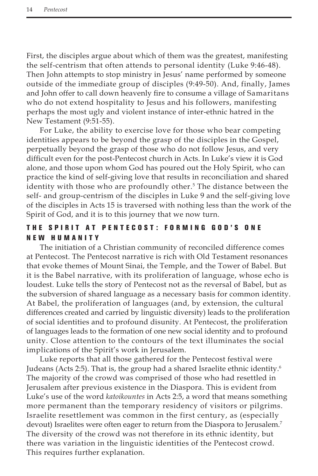First, the disciples argue about which of them was the greatest, manifesting the self-centrism that often attends to personal identity (Luke 9:46-48). Then John attempts to stop ministry in Jesus' name performed by someone outside of the immediate group of disciples (9:49-50). And, finally, James and John offer to call down heavenly fire to consume a village of Samaritans who do not extend hospitality to Jesus and his followers, manifesting perhaps the most ugly and violent instance of inter-ethnic hatred in the New Testament (9:51-55).

For Luke, the ability to exercise love for those who bear competing identities appears to be beyond the grasp of the disciples in the Gospel, perpetually beyond the grasp of those who do not follow Jesus, and very difficult even for the post-Pentecost church in Acts. In Luke's view it is God alone, and those upon whom God has poured out the Holy Spirit, who can practice the kind of self-giving love that results in reconciliation and shared identity with those who are profoundly other.<sup>5</sup> The distance between the self- and group-centrism of the disciples in Luke 9 and the self-giving love of the disciples in Acts 15 is traversed with nothing less than the work of the Spirit of God, and it is to this journey that we now turn.

# THE SPIRIT AT PENTECOST: FORMING GOD'S ONE NEW HUMANITY

The initiation of a Christian community of reconciled difference comes at Pentecost. The Pentecost narrative is rich with Old Testament resonances that evoke themes of Mount Sinai, the Temple, and the Tower of Babel. But it is the Babel narrative, with its proliferation of language, whose echo is loudest. Luke tells the story of Pentecost not as the reversal of Babel, but as the subversion of shared language as a necessary basis for common identity. At Babel, the proliferation of languages (and, by extension, the cultural differences created and carried by linguistic diversity) leads to the proliferation of social identities and to profound disunity. At Pentecost, the proliferation of languages leads to the formation of one new social identity and to profound unity. Close attention to the contours of the text illuminates the social implications of the Spirit's work in Jerusalem.

Luke reports that all those gathered for the Pentecost festival were Judeans (Acts 2:5). That is, the group had a shared Israelite ethnic identity.<sup>6</sup> The majority of the crowd was comprised of those who had resettled in Jerusalem after previous existence in the Diaspora. This is evident from Luke's use of the word *katoikountes* in Acts 2:5, a word that means something more permanent than the temporary residency of visitors or pilgrims. Israelite resettlement was common in the first century, as (especially devout) Israelites were often eager to return from the Diaspora to Jerusalem.<sup>7</sup> The diversity of the crowd was not therefore in its ethnic identity, but there was variation in the linguistic identities of the Pentecost crowd. This requires further explanation.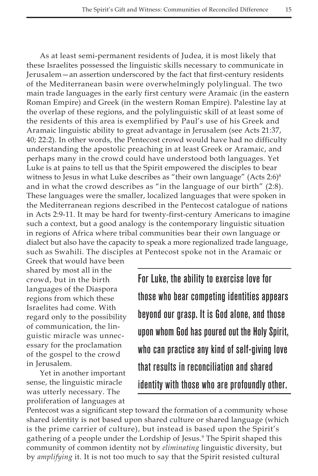As at least semi-permanent residents of Judea, it is most likely that these Israelites possessed the linguistic skills necessary to communicate in Jerusalem—an assertion underscored by the fact that first-century residents of the Mediterranean basin were overwhelmingly polylingual. The two main trade languages in the early first century were Aramaic (in the eastern Roman Empire) and Greek (in the western Roman Empire). Palestine lay at the overlap of these regions, and the polylinguistic skill of at least some of the residents of this area is exemplified by Paul's use of his Greek and Aramaic linguistic ability to great advantage in Jerusalem (see Acts 21:37, 40; 22:2). In other words, the Pentecost crowd would have had no difficulty understanding the apostolic preaching in at least Greek or Aramaic, and perhaps many in the crowd could have understood both languages. Yet Luke is at pains to tell us that the Spirit empowered the disciples to bear witness to Jesus in what Luke describes as "their own language" (Acts 2:6)<sup>8</sup> and in what the crowd describes as "in the language of our birth" (2:8). These languages were the smaller, localized languages that were spoken in the Mediterranean regions described in the Pentecost catalogue of nations in Acts 2:9-11. It may be hard for twenty-first-century Americans to imagine such a context, but a good analogy is the contemporary linguistic situation in regions of Africa where tribal communities bear their own language or dialect but also have the capacity to speak a more regionalized trade language, such as Swahili. The disciples at Pentecost spoke not in the Aramaic or

Greek that would have been shared by most all in the crowd, but in the birth languages of the Diaspora regions from which these Israelites had come. With regard only to the possibility of communication, the linguistic miracle was unnecessary for the proclamation of the gospel to the crowd in Jerusalem.

Yet in another important sense, the linguistic miracle was utterly necessary. The proliferation of languages at For Luke, the ability to exercise love for those who bear competing identities appears beyond our grasp. It is God alone, and those upon whom God has poured out the Holy Spirit, who can practice any kind of self-giving love that results in reconciliation and shared identity with those who are profoundly other.

Pentecost was a significant step toward the formation of a community whose shared identity is not based upon shared culture or shared language (which is the prime carrier of culture), but instead is based upon the Spirit's gathering of a people under the Lordship of Jesus.<sup>9</sup> The Spirit shaped this community of common identity not by *eliminating* linguistic diversity, but by *amplifying* it. It is not too much to say that the Spirit resisted cultural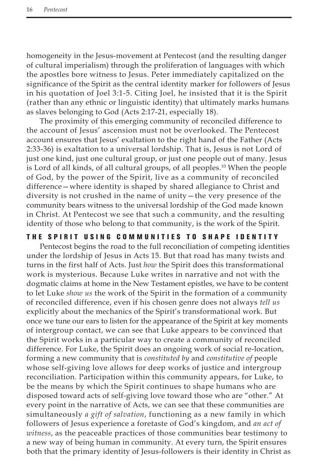homogeneity in the Jesus-movement at Pentecost (and the resulting danger of cultural imperialism) through the proliferation of languages with which the apostles bore witness to Jesus. Peter immediately capitalized on the significance of the Spirit as the central identity marker for followers of Jesus in his quotation of Joel 3:1-5. Citing Joel, he insisted that it is the Spirit (rather than any ethnic or linguistic identity) that ultimately marks humans as slaves belonging to God (Acts 2:17-21, especially 18).

The proximity of this emerging community of reconciled difference to the account of Jesus' ascension must not be overlooked. The Pentecost account ensures that Jesus' exaltation to the right hand of the Father (Acts 2:33-36) is exaltation to a universal lordship. That is, Jesus is not Lord of just one kind, just one cultural group, or just one people out of many. Jesus is Lord of all kinds, of all cultural groups, of all peoples.<sup>10</sup> When the people of God, by the power of the Spirit, live as a community of reconciled difference—where identity is shaped by shared allegiance to Christ and diversity is not crushed in the name of unity—the very presence of the community bears witness to the universal lordship of the God made known in Christ. At Pentecost we see that such a community, and the resulting identity of those who belong to that community, is the work of the Spirit.

## THE SPIRIT USING COMMUNITIES TO SHAPE IDENTITY

Pentecost begins the road to the full reconciliation of competing identities under the lordship of Jesus in Acts 15. But that road has many twists and turns in the first half of Acts. Just *how* the Spirit does this transformational work is mysterious. Because Luke writes in narrative and not with the dogmatic claims at home in the New Testament epistles, we have to be content to let Luke *show us* the work of the Spirit in the formation of a community of reconciled difference, even if his chosen genre does not always *tell us*  explicitly about the mechanics of the Spirit's transformational work. But once we tune our ears to listen for the appearance of the Spirit at key moments of intergroup contact, we can see that Luke appears to be convinced that the Spirit works in a particular way to create a community of reconciled difference. For Luke, the Spirit does an ongoing work of social re-location, forming a new community that is *constituted by* and *constitutive of* people whose self-giving love allows for deep works of justice and intergroup reconciliation. Participation within this community appears, for Luke, to be the means by which the Spirit continues to shape humans who are disposed toward acts of self-giving love toward those who are "other." At every point in the narrative of Acts, we can see that these communities are simultaneously *a gift of salvation*, functioning as a new family in which followers of Jesus experience a foretaste of God's kingdom, and *an act of witness*, as the peaceable practices of those communities bear testimony to a new way of being human in community. At every turn, the Spirit ensures both that the primary identity of Jesus-followers is their identity in Christ as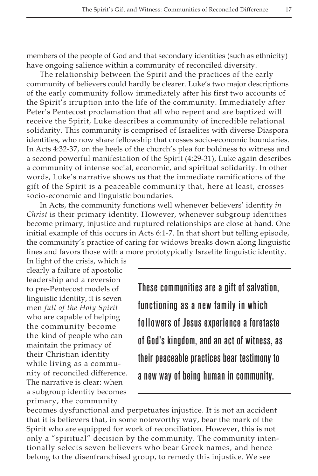members of the people of God and that secondary identities (such as ethnicity) have ongoing salience within a community of reconciled diversity.

The relationship between the Spirit and the practices of the early community of believers could hardly be clearer. Luke's two major descriptions of the early community follow immediately after his first two accounts of the Spirit's irruption into the life of the community. Immediately after Peter's Pentecost proclamation that all who repent and are baptized will receive the Spirit, Luke describes a community of incredible relational solidarity. This community is comprised of Israelites with diverse Diaspora identities, who now share fellowship that crosses socio-economic boundaries. In Acts 4:32-37, on the heels of the church's plea for boldness to witness and a second powerful manifestation of the Spirit (4:29-31), Luke again describes a community of intense social, economic, and spiritual solidarity. In other words, Luke's narrative shows us that the immediate ramifications of the gift of the Spirit is a peaceable community that, here at least, crosses socio-economic and linguistic boundaries.

In Acts, the community functions well whenever believers' identity *in Christ* is their primary identity. However, whenever subgroup identities become primary, injustice and ruptured relationships are close at hand. One initial example of this occurs in Acts 6:1-7. In that short but telling episode, the community's practice of caring for widows breaks down along linguistic lines and favors those with a more prototypically Israelite linguistic identity.

In light of the crisis, which is clearly a failure of apostolic leadership and a reversion to pre-Pentecost models of linguistic identity, it is seven men *full of the Holy Spirit* who are capable of helping the community become the kind of people who can maintain the primacy of their Christian identity while living as a community of reconciled difference. The narrative is clear: when a subgroup identity becomes primary, the community

These communities are a gift of salvation, functioning as a new family in which followers of Jesus experience a foretaste of God's kingdom, and an act of witness, as their peaceable practices bear testimony to a new way of being human in community.

becomes dysfunctional and perpetuates injustice. It is not an accident that it is believers that, in some noteworthy way, bear the mark of the Spirit who are equipped for work of reconciliation. However, this is not only a "spiritual" decision by the community. The community intentionally selects seven believers who bear Greek names, and hence belong to the disenfranchised group, to remedy this injustice. We see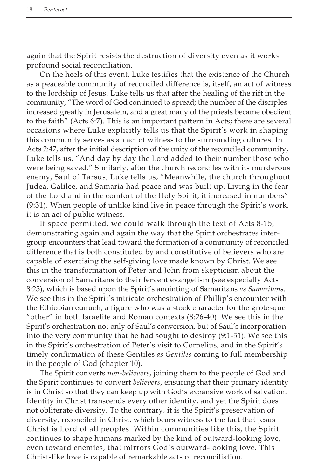again that the Spirit resists the destruction of diversity even as it works profound social reconciliation.

On the heels of this event, Luke testifies that the existence of the Church as a peaceable community of reconciled difference is, itself, an act of witness to the lordship of Jesus. Luke tells us that after the healing of the rift in the community, "The word of God continued to spread; the number of the disciples increased greatly in Jerusalem, and a great many of the priests became obedient to the faith" (Acts 6:7). This is an important pattern in Acts; there are several occasions where Luke explicitly tells us that the Spirit's work in shaping this community serves as an act of witness to the surrounding cultures. In Acts 2:47, after the initial description of the unity of the reconciled community, Luke tells us, "And day by day the Lord added to their number those who were being saved." Similarly, after the church reconciles with its murderous enemy, Saul of Tarsus, Luke tells us, "Meanwhile, the church throughout Judea, Galilee, and Samaria had peace and was built up. Living in the fear of the Lord and in the comfort of the Holy Spirit, it increased in numbers" (9:31). When people of unlike kind live in peace through the Spirit's work, it is an act of public witness.

If space permitted, we could walk through the text of Acts 8-15, demonstrating again and again the way that the Spirit orchestrates intergroup encounters that lead toward the formation of a community of reconciled difference that is both constituted by and constitutive of believers who are capable of exercising the self-giving love made known by Christ. We see this in the transformation of Peter and John from skepticism about the conversion of Samaritans to their fervent evangelism (see especially Acts 8:25), which is based upon the Spirit's anointing of Samaritans *as Samaritans*. We see this in the Spirit's intricate orchestration of Phillip's encounter with the Ethiopian eunuch, a figure who was a stock character for the grotesque "other" in both Israelite and Roman contexts (8:26-40). We see this in the Spirit's orchestration not only of Saul's conversion, but of Saul's incorporation into the very community that he had sought to destroy (9:1-31). We see this in the Spirit's orchestration of Peter's visit to Cornelius, and in the Spirit's timely confirmation of these Gentiles *as Gentiles* coming to full membership in the people of God (chapter 10).

The Spirit converts *non-believers*, joining them to the people of God and the Spirit continues to convert *believers*, ensuring that their primary identity is in Christ so that they can keep up with God's expansive work of salvation. Identity in Christ transcends every other identity, and yet the Spirit does not obliterate diversity. To the contrary, it is the Spirit's preservation of diversity, reconciled in Christ, which bears witness to the fact that Jesus Christ is Lord of all peoples. Within communities like this, the Spirit continues to shape humans marked by the kind of outward-looking love, even toward enemies, that mirrors God's outward-looking love. This Christ-like love is capable of remarkable acts of reconciliation.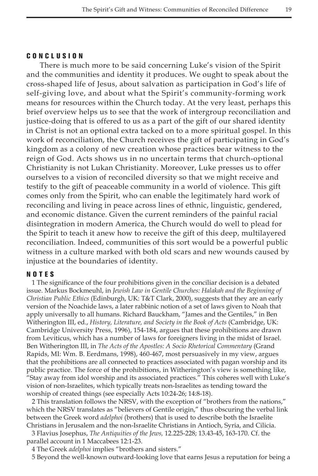#### C onclu s ion

There is much more to be said concerning Luke's vision of the Spirit and the communities and identity it produces. We ought to speak about the cross-shaped life of Jesus, about salvation as participation in God's life of self-giving love, and about what the Spirit's community-forming work means for resources within the Church today. At the very least, perhaps this brief overview helps us to see that the work of intergroup reconciliation and justice-doing that is offered to us as a part of the gift of our shared identity in Christ is not an optional extra tacked on to a more spiritual gospel. In this work of reconciliation, the Church receives the gift of participating in God's kingdom as a colony of new creation whose practices bear witness to the reign of God. Acts shows us in no uncertain terms that church-optional Christianity is not Lukan Christianity. Moreover, Luke presses us to offer ourselves to a vision of reconciled diversity so that we might receive and testify to the gift of peaceable community in a world of violence. This gift comes only from the Spirit, who can enable the legitimately hard work of reconciling and living in peace across lines of ethnic, linguistic, gendered, and economic distance. Given the current reminders of the painful racial disintegration in modern America, the Church would do well to plead for the Spirit to teach it anew how to receive the gift of this deep, multilayered reconciliation. Indeed, communities of this sort would be a powerful public witness in a culture marked with both old scars and new wounds caused by injustice at the boundaries of identity.

#### NO T E S

1 The significance of the four prohibitions given in the conciliar decision is a debated issue. Markus Bockmeuhl, in *Jewish Law in Gentile Churches: Halakah and the Beginning of Christian Public Ethics* (Edinburgh, UK: T&T Clark, 2000), suggests that they are an early version of the Noachide laws, a later rabbinic notion of a set of laws given to Noah that apply universally to all humans. Richard Bauckham, "James and the Gentiles," in Ben Witherington III, ed., *History, Literature, and Society in the Book of Acts* (Cambridge, UK: Cambridge University Press, 1996), 154-184, argues that these prohibitions are drawn from Leviticus, which has a number of laws for foreigners living in the midst of Israel. Ben Witherington III, in *The Acts of the Apostles: A Socio Rhetorical Commentary* (Grand Rapids, MI: Wm. B. Eerdmans, 1998), 460-467, most persuasively in my view, argues that the prohibitions are all connected to practices associated with pagan worship and its public practice. The force of the prohibitions, in Witherington's view is something like, "Stay away from idol worship and its associated practices." This coheres well with Luke's vision of non-Israelites, which typically treats non-Israelites as tending toward the worship of created things (see especially Acts 10:24-26; 14:8-18).

2 This translation follows the NRSV, with the exception of "brothers from the nations," which the NRSV translates as "believers of Gentile origin," thus obscuring the verbal link between the Greek word *adelphoi* (brothers) that is used to describe both the Israelite Christians in Jerusalem and the non-Israelite Christians in Antioch, Syria, and Cilicia.

3 Flavius Josephus, *The Antiquities of the Jews,* 12.225-228; 13.43-45, 163-170. Cf. the parallel account in 1 Maccabees 12:1-23.

4 The Greek *adelphoi* implies "brothers and sisters."

5 Beyond the well-known outward-looking love that earns Jesus a reputation for being a